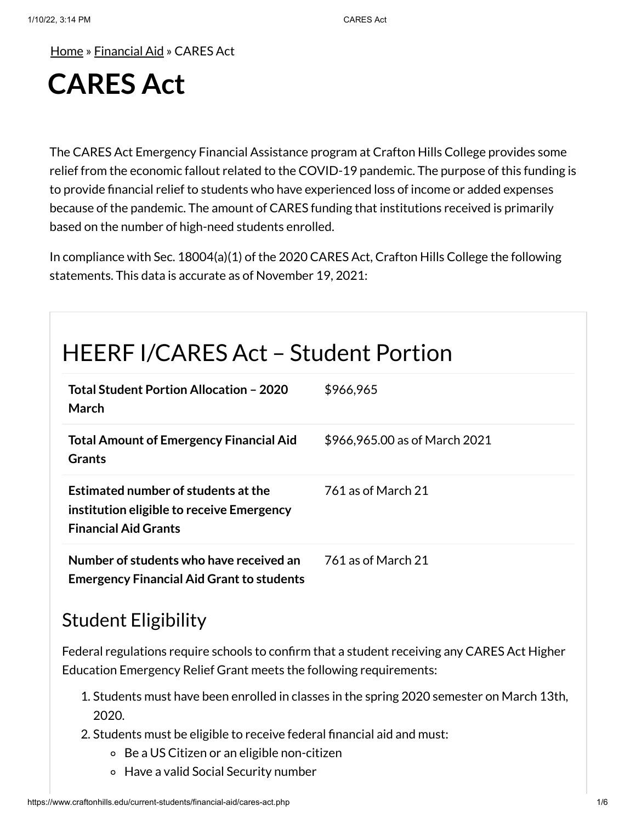[Home](https://www.craftonhills.edu/index.php) » [Financial](https://www.craftonhills.edu/current-students/financial-aid/index.php) Aid » CARES Act

# **CARES Act**

The CARES Act Emergency Financial Assistance program at Crafton Hills College provides some relief from the economic fallout related to the COVID-19 pandemic. The purpose of this funding is to provide financial relief to students who have experienced loss of income or added expenses because of the pandemic. The amount of CARES funding that institutions received is primarily based on the number of high-need students enrolled.

In compliance with Sec. 18004(a)(1) of the 2020 CARES Act, Crafton Hills College the following statements. This data is accurate as of November 19, 2021:

## HEERF I/CARES Act – Student Portion

| Total Student Portion Allocation - 2020<br>March                                                                | \$966,965                     |
|-----------------------------------------------------------------------------------------------------------------|-------------------------------|
| <b>Total Amount of Emergency Financial Aid</b><br><b>Grants</b>                                                 | \$966,965.00 as of March 2021 |
| Estimated number of students at the<br>institution eligible to receive Emergency<br><b>Financial Aid Grants</b> | 761 as of March 21            |
| Number of students who have received an<br><b>Emergency Financial Aid Grant to students</b>                     | 761 as of March 21            |

#### Student Eligibility

Federal regulations require schools to confirm that a student receiving any CARES Act Higher Education Emergency Relief Grant meets the following requirements:

- 1. Students must have been enrolled in classes in the spring 2020 semester on March 13th, 2020.
- 2. Students must be eligible to receive federal financial aid and must:
	- Be a US Citizen or an eligible non-citizen
	- Have a valid Social Security number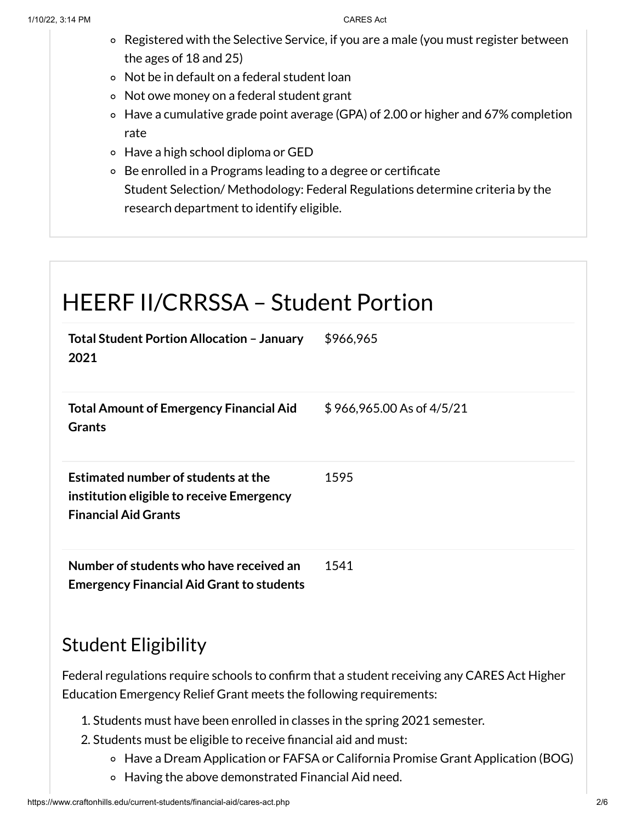- Registered with the Selective Service, if you are a male (you must register between the ages of 18 and 25)
- Not be in default on a federal student loan
- Not owe money on a federal student grant
- Have a cumulative grade point average (GPA) of 2.00 or higher and 67% completion rate
- Have a high school diploma or GED
- Be enrolled in a Programs leading to a degree or certificate Student Selection/ Methodology: Federal Regulations determine criteria by the research department to identify eligible.

### HEERF II/CRRSSA – Student Portion **Total Student Portion Allocation – January 2021** \$966,965 **Total Amount of Emergency Financial Aid Grants** \$ 966,965.00 As of 4/5/21 **Estimated number of students atthe institution eligible to receive Emergency Financial Aid Grants** 1595 **Number of students who have received an Emergency Financial Aid Grant to students** 1541

#### Student Eligibility

Federal regulations require schools to confirm that a student receiving any CARES Act Higher Education Emergency Relief Grant meets the following requirements:

- 1. Students must have been enrolled in classes in the spring 2021 semester.
- 2. Students must be eligible to receive financial aid and must:
	- Have a Dream Application or FAFSA or California Promise Grant Application (BOG)
	- Having the above demonstrated Financial Aid need.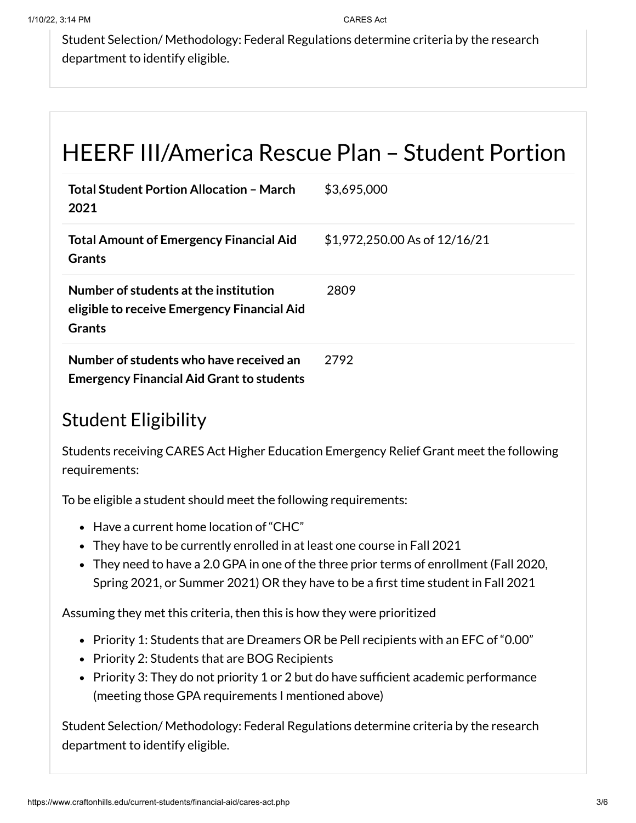Student Selection/ Methodology: Federal Regulations determine criteria by the research department to identify eligible.

## HEERF III/America Rescue Plan – Student Portion

| <b>Total Student Portion Allocation - March</b><br>2021                                               | \$3,695,000                   |
|-------------------------------------------------------------------------------------------------------|-------------------------------|
| <b>Total Amount of Emergency Financial Aid</b><br><b>Grants</b>                                       | \$1,972,250.00 As of 12/16/21 |
| Number of students at the institution<br>eligible to receive Emergency Financial Aid<br><b>Grants</b> | 2809                          |
| Number of students who have received an<br><b>Emergency Financial Aid Grant to students</b>           | 2792                          |

### Student Eligibility

Students receiving CARES Act Higher Education Emergency Relief Grant meet the following requirements:

To be eligible a student should meet the following requirements:

- Have a current home location of "CHC"
- They have to be currently enrolled in at least one course in Fall 2021
- They need to have a 2.0 GPA in one of the three prior terms of enrollment (Fall 2020, Spring 2021, or Summer 2021) OR they have to be a first time student in Fall 2021

Assuming they met this criteria, then this is how they were prioritized

- Priority 1: Students that are Dreamers OR be Pell recipients with an EFC of "0.00"
- Priority 2: Students that are BOG Recipients
- Priority 3: They do not priority 1 or 2 but do have sufficient academic performance (meeting those GPA requirements I mentioned above)

Student Selection/ Methodology: Federal Regulations determine criteria by the research department to identify eligible.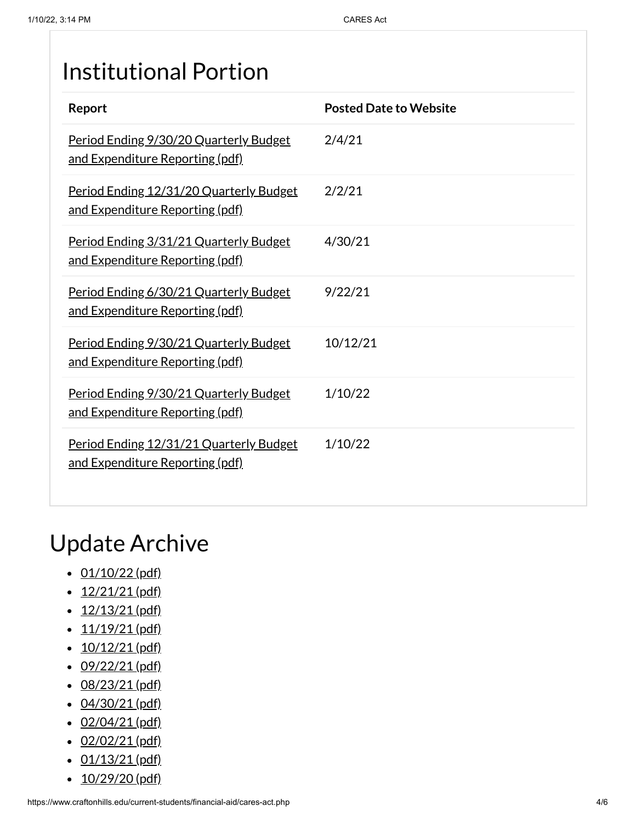## Institutional Portion

| Report                                                                     | <b>Posted Date to Website</b> |
|----------------------------------------------------------------------------|-------------------------------|
| Period Ending 9/30/20 Quarterly Budget<br>and Expenditure Reporting (pdf)  | 2/4/21                        |
| Period Ending 12/31/20 Quarterly Budget<br>and Expenditure Reporting (pdf) | 2/2/21                        |
| Period Ending 3/31/21 Quarterly Budget<br>and Expenditure Reporting (pdf)  | 4/30/21                       |
| Period Ending 6/30/21 Quarterly Budget<br>and Expenditure Reporting (pdf)  | 9/22/21                       |
| Period Ending 9/30/21 Quarterly Budget<br>and Expenditure Reporting (pdf)  | 10/12/21                      |
| Period Ending 9/30/21 Quarterly Budget<br>and Expenditure Reporting (pdf)  | 1/10/22                       |
| Period Ending 12/31/21 Quarterly Budget<br>and Expenditure Reporting (pdf) | 1/10/22                       |

## Update Archive

- $\cdot$  [01/10/22](https://www.craftonhills.edu/current-students/financial-aid/documents/cares-act-page-01-10-22.pdf) (pdf)
- $\cdot$  [12/21/21](https://www.craftonhills.edu/current-students/financial-aid/documents/cares-act-page-12-21-21.pdf) (pdf)
- $\cdot$  [12/13/21](https://www.craftonhills.edu/current-students/financial-aid/documents/cares-act-page-12-13-21.pdf) (pdf)
- $\cdot$  [11/19/21](https://www.craftonhills.edu/current-students/financial-aid/documents/cares-act-page-11-19-21.pdf) (pdf)
- $\cdot$  [10/12/21](https://www.craftonhills.edu/current-students/financial-aid/documents/cares-act-page-10-12-21.pdf) (pdf)
- $\cdot$  [09/22/21](https://www.craftonhills.edu/current-students/financial-aid/documents/cares-act-page-9-22-21.pdf) (pdf)
- $\cdot$  [08/23/21](https://www.craftonhills.edu/current-students/financial-aid/documents/cares-act-page-8-23-21.pdf) (pdf)
- $\cdot$  [04/30/21](https://www.craftonhills.edu/current-students/financial-aid/documents/casres-act-page-4-30-21.pdf) (pdf)
- $\cdot$  [02/04/21](https://www.craftonhills.edu/current-students/financial-aid/documents/cares-act-page-2-4-21.pdf) (pdf)
- $\cdot$  [02/02/21](https://www.craftonhills.edu/current-students/financial-aid/documents/cares-act-page-2-2-21.pdf) (pdf)
- $\cdot$  [01/13/21](https://www.craftonhills.edu/current-students/financial-aid/documents/cares-act-page-1-13-21.pdf) (pdf)
- $\cdot$  [10/29/20](https://www.craftonhills.edu/current-students/financial-aid/documents/cares-act-page-10-29-20.pdf) (pdf)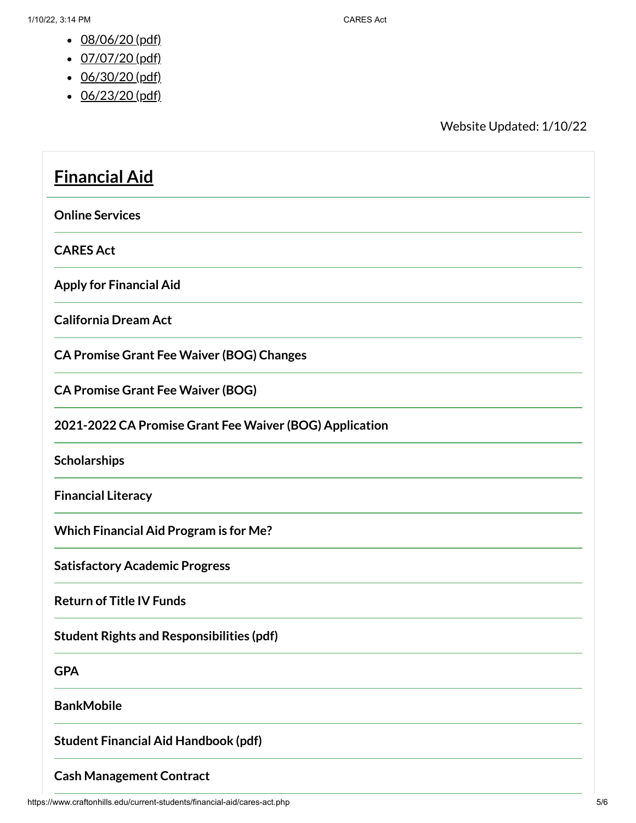- [08/06/20](https://www.craftonhills.edu/current-students/financial-aid/documents/casre-act-page-8-6-20.pdf) (pdf)
- [07/07/20](https://www.craftonhills.edu/current-students/financial-aid/documents/cares-act-page-7-7-20.pdf) (pdf)
- [06/30/20](https://www.craftonhills.edu/current-students/financial-aid/documents/cares-act-page-6-30-20.pdf) (pdf)
- [06/23/20](https://www.craftonhills.edu/current-students/financial-aid/documents/cares-act-page-6-23-20.pdf) (pdf)

Website Updated: 1/10/22

| <b>Financial Aid</b>                                    |
|---------------------------------------------------------|
| <b>Online Services</b>                                  |
| <b>CARES Act</b>                                        |
| <b>Apply for Financial Aid</b>                          |
| <b>California Dream Act</b>                             |
| <b>CA Promise Grant Fee Waiver (BOG) Changes</b>        |
| <b>CA Promise Grant Fee Waiver (BOG)</b>                |
| 2021-2022 CA Promise Grant Fee Waiver (BOG) Application |
| Scholarships                                            |
| <b>Financial Literacy</b>                               |
| <b>Which Financial Aid Program is for Me?</b>           |
| <b>Satisfactory Academic Progress</b>                   |
| <b>Return of Title IV Funds</b>                         |
| <b>Student Rights and Responsibilities (pdf)</b>        |
| <b>GPA</b>                                              |
| <b>BankMobile</b>                                       |
| <b>Student Financial Aid Handbook (pdf)</b>             |
| <b>Cash Management Contract</b>                         |